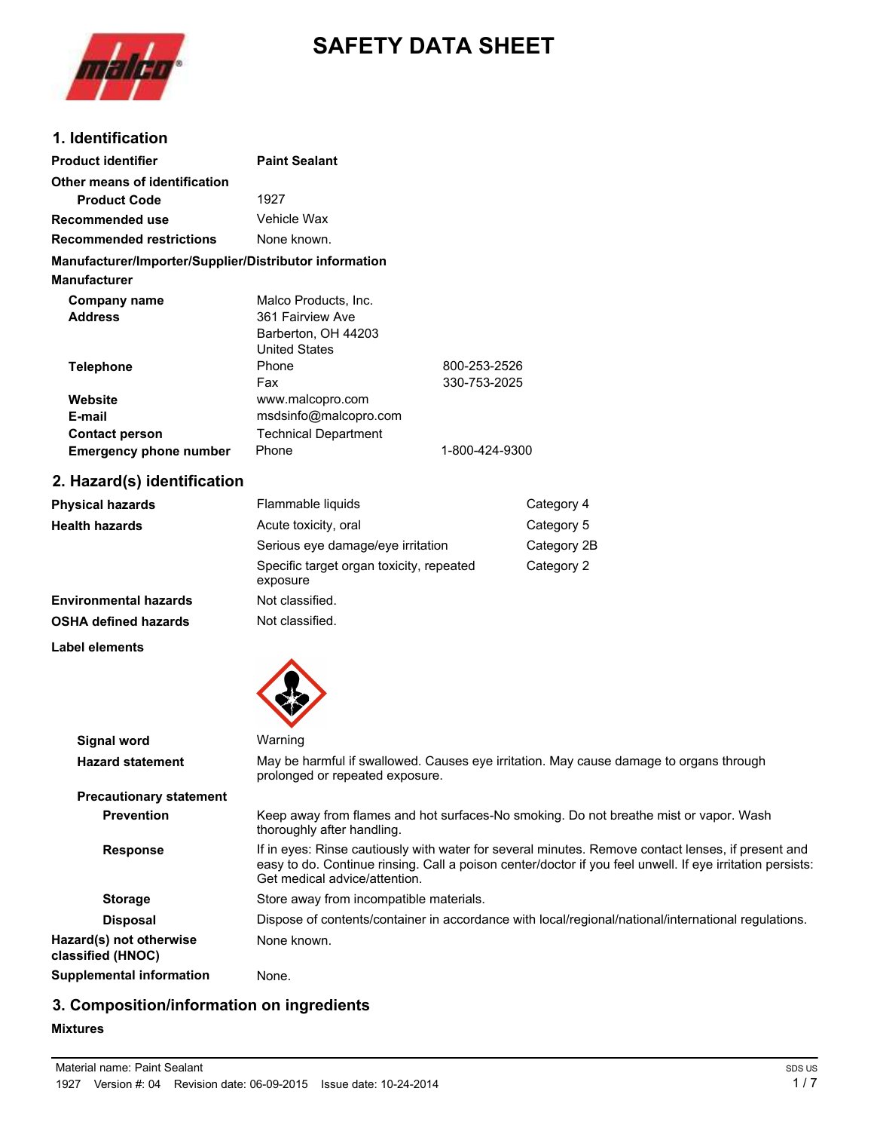

# **SAFETY DATA SHEET**

#### **1. Identification**

| <b>Product identifier</b>                              | <b>Paint Sealant</b>        |                |
|--------------------------------------------------------|-----------------------------|----------------|
| Other means of identification                          |                             |                |
| <b>Product Code</b>                                    | 1927                        |                |
| Recommended use                                        | Vehicle Wax                 |                |
| <b>Recommended restrictions</b>                        | None known.                 |                |
| Manufacturer/Importer/Supplier/Distributor information |                             |                |
| <b>Manufacturer</b>                                    |                             |                |
| Company name                                           | Malco Products, Inc.        |                |
| <b>Address</b>                                         | 361 Fairview Ave            |                |
|                                                        | Barberton, OH 44203         |                |
|                                                        | <b>United States</b>        |                |
| <b>Telephone</b>                                       | Phone                       | 800-253-2526   |
|                                                        | Fax                         | 330-753-2025   |
| Website                                                | www.malcopro.com            |                |
| E-mail                                                 | msdsinfo@malcopro.com       |                |
| <b>Contact person</b>                                  | <b>Technical Department</b> |                |
| <b>Emergency phone number</b>                          | Phone                       | 1-800-424-9300 |

## **2. Hazard(s) identification**

| Physical hazards      | Flammable liquids                                    | Category 4  |
|-----------------------|------------------------------------------------------|-------------|
| Health hazards        | Acute toxicity, oral                                 | Category 5  |
|                       | Serious eye damage/eye irritation                    | Category 2B |
|                       | Specific target organ toxicity, repeated<br>exposure | Category 2  |
| Environmental hazards | Not classified.                                      |             |
| OSHA defined hazards  | Not classified.                                      |             |
|                       |                                                      |             |

**Label elements**



| <b>Signal word</b>                           | Warning                                                                                                                                                                                                                                          |
|----------------------------------------------|--------------------------------------------------------------------------------------------------------------------------------------------------------------------------------------------------------------------------------------------------|
| <b>Hazard statement</b>                      | May be harmful if swallowed. Causes eye irritation. May cause damage to organs through<br>prolonged or repeated exposure.                                                                                                                        |
| <b>Precautionary statement</b>               |                                                                                                                                                                                                                                                  |
| <b>Prevention</b>                            | Keep away from flames and hot surfaces-No smoking. Do not breathe mist or vapor. Wash<br>thoroughly after handling.                                                                                                                              |
| <b>Response</b>                              | If in eyes: Rinse cautiously with water for several minutes. Remove contact lenses, if present and<br>easy to do. Continue rinsing. Call a poison center/doctor if you feel unwell. If eye irritation persists:<br>Get medical advice/attention. |
| <b>Storage</b>                               | Store away from incompatible materials.                                                                                                                                                                                                          |
| <b>Disposal</b>                              | Dispose of contents/container in accordance with local/regional/national/international regulations.                                                                                                                                              |
| Hazard(s) not otherwise<br>classified (HNOC) | None known.                                                                                                                                                                                                                                      |
| <b>Supplemental information</b>              | None.                                                                                                                                                                                                                                            |

### **3. Composition/information on ingredients**

**Mixtures**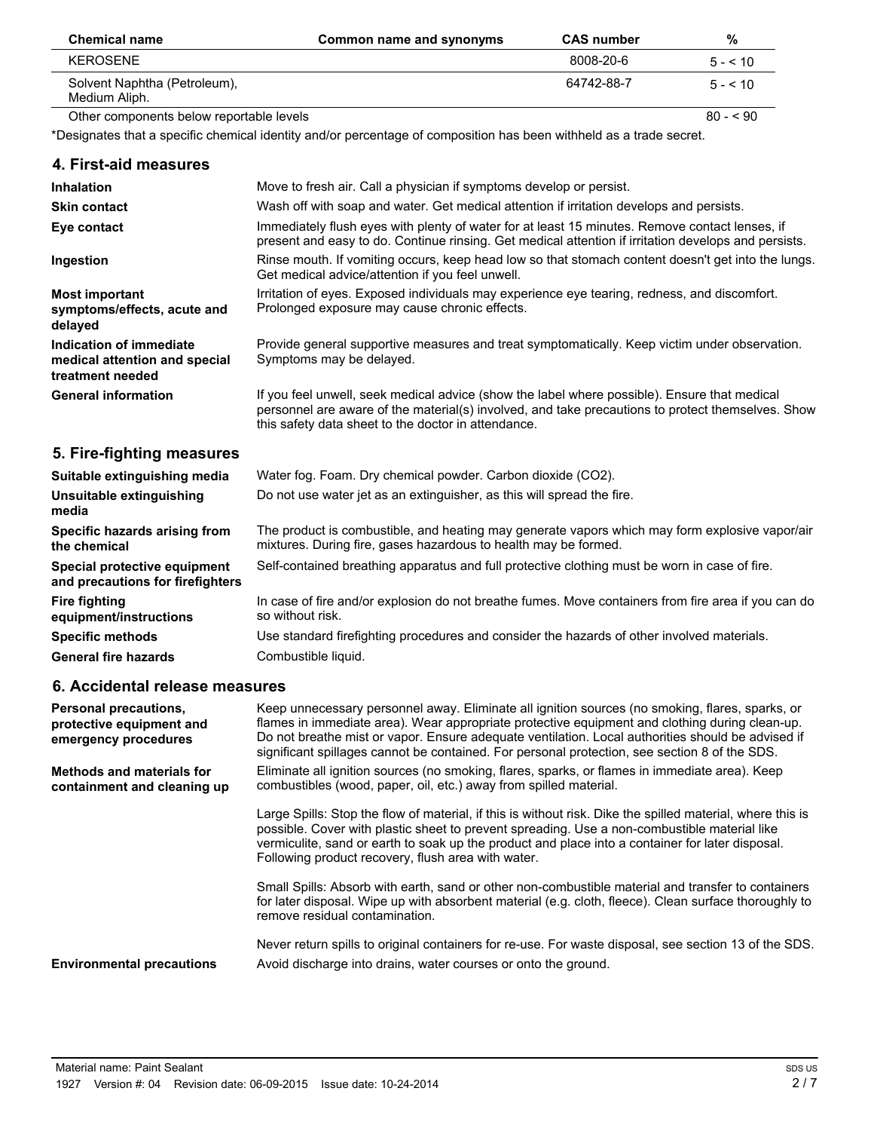| <b>Chemical name</b>                          | Common name and synonyms | <b>CAS number</b> | %          |
|-----------------------------------------------|--------------------------|-------------------|------------|
| KEROSENE                                      |                          | 8008-20-6         | $5 - 510$  |
| Solvent Naphtha (Petroleum),<br>Medium Aliph. |                          | 64742-88-7        | $5 - 510$  |
| Other components below reportable levels      |                          |                   | $80 - 590$ |

\*Designates that a specific chemical identity and/or percentage of composition has been withheld as a trade secret.

| 4. First-aid measures                                                            |                                                                                                                                                                                                                                                                                                                                                                                                         |
|----------------------------------------------------------------------------------|---------------------------------------------------------------------------------------------------------------------------------------------------------------------------------------------------------------------------------------------------------------------------------------------------------------------------------------------------------------------------------------------------------|
| <b>Inhalation</b>                                                                | Move to fresh air. Call a physician if symptoms develop or persist.                                                                                                                                                                                                                                                                                                                                     |
| <b>Skin contact</b>                                                              | Wash off with soap and water. Get medical attention if irritation develops and persists.                                                                                                                                                                                                                                                                                                                |
| Eye contact                                                                      | Immediately flush eyes with plenty of water for at least 15 minutes. Remove contact lenses, if<br>present and easy to do. Continue rinsing. Get medical attention if irritation develops and persists.                                                                                                                                                                                                  |
| Ingestion                                                                        | Rinse mouth. If vomiting occurs, keep head low so that stomach content doesn't get into the lungs.<br>Get medical advice/attention if you feel unwell.                                                                                                                                                                                                                                                  |
| <b>Most important</b><br>symptoms/effects, acute and<br>delayed                  | Irritation of eyes. Exposed individuals may experience eye tearing, redness, and discomfort.<br>Prolonged exposure may cause chronic effects.                                                                                                                                                                                                                                                           |
| Indication of immediate<br>medical attention and special<br>treatment needed     | Provide general supportive measures and treat symptomatically. Keep victim under observation.<br>Symptoms may be delayed.                                                                                                                                                                                                                                                                               |
| <b>General information</b>                                                       | If you feel unwell, seek medical advice (show the label where possible). Ensure that medical<br>personnel are aware of the material(s) involved, and take precautions to protect themselves. Show<br>this safety data sheet to the doctor in attendance.                                                                                                                                                |
| 5. Fire-fighting measures                                                        |                                                                                                                                                                                                                                                                                                                                                                                                         |
| Suitable extinguishing media                                                     | Water fog. Foam. Dry chemical powder. Carbon dioxide (CO2).                                                                                                                                                                                                                                                                                                                                             |
| Unsuitable extinguishing<br>media                                                | Do not use water jet as an extinguisher, as this will spread the fire.                                                                                                                                                                                                                                                                                                                                  |
| Specific hazards arising from<br>the chemical                                    | The product is combustible, and heating may generate vapors which may form explosive vapor/air<br>mixtures. During fire, gases hazardous to health may be formed.                                                                                                                                                                                                                                       |
| Special protective equipment<br>and precautions for firefighters                 | Self-contained breathing apparatus and full protective clothing must be worn in case of fire.                                                                                                                                                                                                                                                                                                           |
| <b>Fire fighting</b><br>equipment/instructions                                   | In case of fire and/or explosion do not breathe fumes. Move containers from fire area if you can do<br>so without risk.                                                                                                                                                                                                                                                                                 |
| <b>Specific methods</b>                                                          | Use standard firefighting procedures and consider the hazards of other involved materials.                                                                                                                                                                                                                                                                                                              |
| <b>General fire hazards</b>                                                      | Combustible liquid.                                                                                                                                                                                                                                                                                                                                                                                     |
| 6. Accidental release measures                                                   |                                                                                                                                                                                                                                                                                                                                                                                                         |
| <b>Personal precautions,</b><br>protective equipment and<br>emergency procedures | Keep unnecessary personnel away. Eliminate all ignition sources (no smoking, flares, sparks, or<br>flames in immediate area). Wear appropriate protective equipment and clothing during clean-up.<br>Do not breathe mist or vapor. Ensure adequate ventilation. Local authorities should be advised if<br>significant spillages cannot be contained. For personal protection, see section 8 of the SDS. |
| <b>Methods and materials for</b><br>containment and cleaning up                  | Eliminate all ignition sources (no smoking, flares, sparks, or flames in immediate area). Keep<br>combustibles (wood, paper, oil, etc.) away from spilled material.                                                                                                                                                                                                                                     |
|                                                                                  | Large Spills: Stop the flow of material, if this is without risk. Dike the spilled material, where this is<br>possible. Cover with plastic sheet to prevent spreading. Use a non-combustible material like<br>vermiculite, sand or earth to soak up the product and place into a container for later disposal.<br>Following product recovery, flush area with water.                                    |
|                                                                                  | Small Spills: Absorb with earth, sand or other non-combustible material and transfer to containers<br>for later disposal. Wipe up with absorbent material (e.g. cloth, fleece). Clean surface thoroughly to<br>remove residual contamination.                                                                                                                                                           |

Never return spills to original containers for re-use. For waste disposal, see section 13 of the SDS. **Environmental precautions** Avoid discharge into drains, water courses or onto the ground.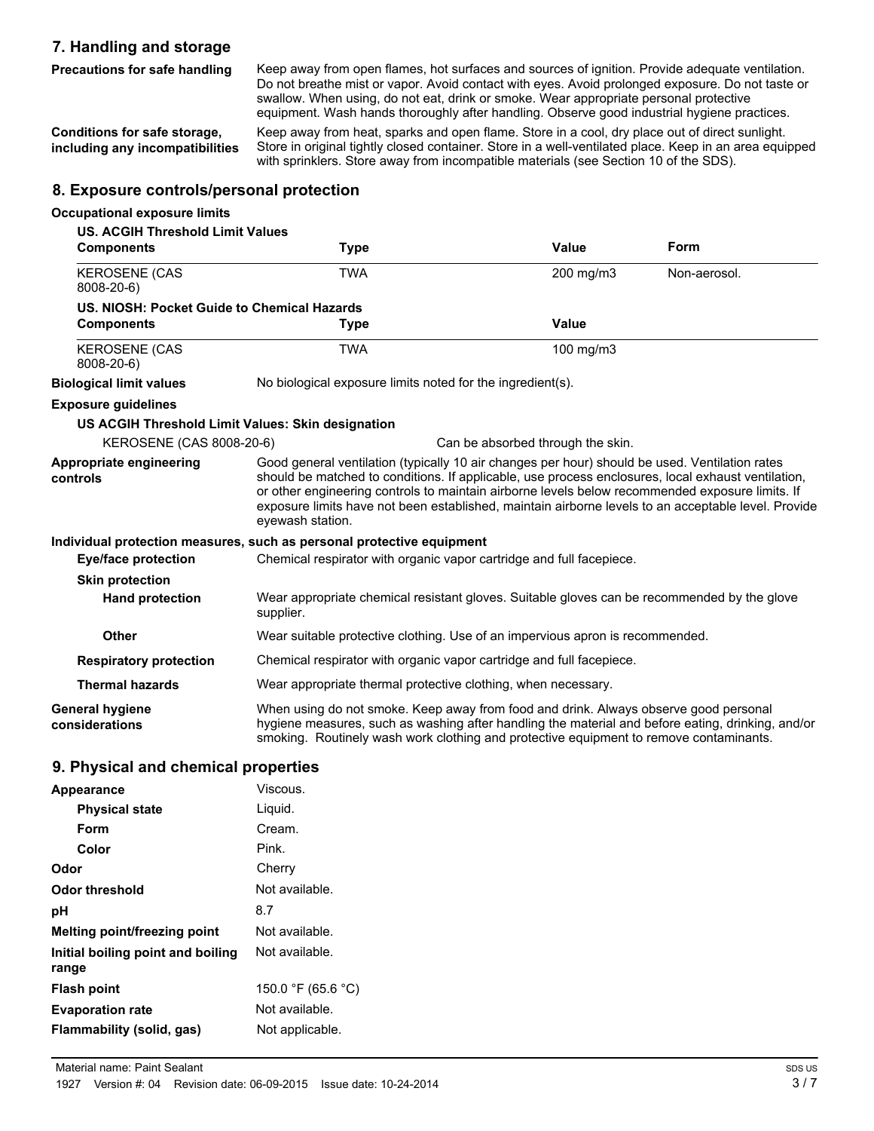### **7. Handling and storage**

**Precautions for safe handling**

Keep away from open flames, hot surfaces and sources of ignition. Provide adequate ventilation. Do not breathe mist or vapor. Avoid contact with eyes. Avoid prolonged exposure. Do not taste or swallow. When using, do not eat, drink or smoke. Wear appropriate personal protective equipment. Wash hands thoroughly after handling. Observe good industrial hygiene practices.

**Conditions for safe storage, including any incompatibilities**

Keep away from heat, sparks and open flame. Store in a cool, dry place out of direct sunlight. Store in original tightly closed container. Store in a well-ventilated place. Keep in an area equipped with sprinklers. Store away from incompatible materials (see Section 10 of the SDS).

### **8. Exposure controls/personal protection**

### **Occupational exposure limits**

| <b>US. ACGIH Threshold Limit Values</b>           |                                                                                                                                                                                                                                                                                                                                                                                                                                    |                                   |              |
|---------------------------------------------------|------------------------------------------------------------------------------------------------------------------------------------------------------------------------------------------------------------------------------------------------------------------------------------------------------------------------------------------------------------------------------------------------------------------------------------|-----------------------------------|--------------|
| <b>Components</b>                                 | <b>Type</b>                                                                                                                                                                                                                                                                                                                                                                                                                        | Value                             | Form         |
| <b>KEROSENE (CAS</b><br>8008-20-6)                | <b>TWA</b>                                                                                                                                                                                                                                                                                                                                                                                                                         | 200 mg/m3                         | Non-aerosol. |
| US. NIOSH: Pocket Guide to Chemical Hazards       |                                                                                                                                                                                                                                                                                                                                                                                                                                    |                                   |              |
| <b>Components</b>                                 | <b>Type</b>                                                                                                                                                                                                                                                                                                                                                                                                                        | Value                             |              |
| <b>KEROSENE (CAS</b><br>8008-20-6)                | <b>TWA</b>                                                                                                                                                                                                                                                                                                                                                                                                                         | 100 mg/m3                         |              |
| <b>Biological limit values</b>                    | No biological exposure limits noted for the ingredient(s).                                                                                                                                                                                                                                                                                                                                                                         |                                   |              |
| <b>Exposure guidelines</b>                        |                                                                                                                                                                                                                                                                                                                                                                                                                                    |                                   |              |
| US ACGIH Threshold Limit Values: Skin designation |                                                                                                                                                                                                                                                                                                                                                                                                                                    |                                   |              |
| KEROSENE (CAS 8008-20-6)                          |                                                                                                                                                                                                                                                                                                                                                                                                                                    | Can be absorbed through the skin. |              |
| Appropriate engineering<br>controls               | Good general ventilation (typically 10 air changes per hour) should be used. Ventilation rates<br>should be matched to conditions. If applicable, use process enclosures, local exhaust ventilation,<br>or other engineering controls to maintain airborne levels below recommended exposure limits. If<br>exposure limits have not been established, maintain airborne levels to an acceptable level. Provide<br>eyewash station. |                                   |              |
|                                                   | Individual protection measures, such as personal protective equipment                                                                                                                                                                                                                                                                                                                                                              |                                   |              |
| <b>Eye/face protection</b>                        | Chemical respirator with organic vapor cartridge and full facepiece.                                                                                                                                                                                                                                                                                                                                                               |                                   |              |
| <b>Skin protection</b>                            |                                                                                                                                                                                                                                                                                                                                                                                                                                    |                                   |              |
| <b>Hand protection</b>                            | Wear appropriate chemical resistant gloves. Suitable gloves can be recommended by the glove<br>supplier.                                                                                                                                                                                                                                                                                                                           |                                   |              |
| <b>Other</b>                                      | Wear suitable protective clothing. Use of an impervious apron is recommended.                                                                                                                                                                                                                                                                                                                                                      |                                   |              |
| <b>Respiratory protection</b>                     | Chemical respirator with organic vapor cartridge and full facepiece.                                                                                                                                                                                                                                                                                                                                                               |                                   |              |
| <b>Thermal hazards</b>                            | Wear appropriate thermal protective clothing, when necessary.                                                                                                                                                                                                                                                                                                                                                                      |                                   |              |
| General hygiene<br>considerations                 | When using do not smoke. Keep away from food and drink. Always observe good personal<br>hygiene measures, such as washing after handling the material and before eating, drinking, and/or<br>smoking. Routinely wash work clothing and protective equipment to remove contaminants.                                                                                                                                                |                                   |              |

#### **9. Physical and chemical properties**

| Appearance                                 | Viscous.           |
|--------------------------------------------|--------------------|
| <b>Physical state</b>                      | Liquid.            |
| Form                                       | Cream.             |
| Color                                      | Pink.              |
| Odor                                       | Cherry             |
| Odor threshold                             | Not available.     |
| рH                                         | 8.7                |
| Melting point/freezing point               | Not available.     |
| Initial boiling point and boiling<br>range | Not available.     |
| <b>Flash point</b>                         | 150.0 °F (65.6 °C) |
| <b>Evaporation rate</b>                    | Not available.     |
| Flammability (solid, gas)                  | Not applicable.    |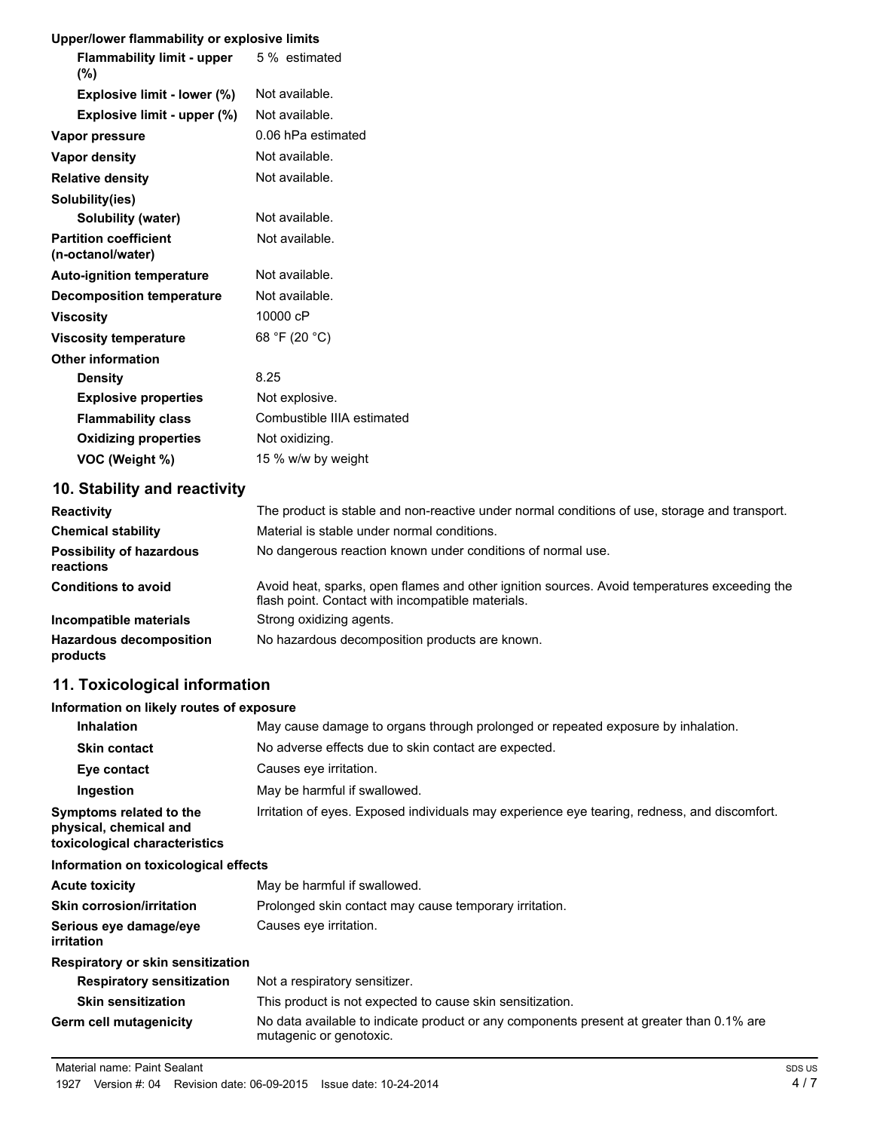### **Upper/lower flammability or explosive limits**

| <b>Opper/lower Hammability or explosive limits</b>    |                            |
|-------------------------------------------------------|----------------------------|
| <b>Flammability limit - upper</b> 5% estimated<br>(%) |                            |
| Explosive limit - lower (%)                           | Not available.             |
| Explosive limit - upper (%)                           | Not available.             |
| Vapor pressure                                        | 0.06 hPa estimated         |
| Vapor density                                         | Not available.             |
| <b>Relative density</b>                               | Not available.             |
| Solubility(ies)                                       |                            |
| <b>Solubility (water)</b>                             | Not available.             |
| <b>Partition coefficient</b><br>(n-octanol/water)     | Not available.             |
| <b>Auto-ignition temperature</b>                      | Not available.             |
| <b>Decomposition temperature</b>                      | Not available.             |
| <b>Viscosity</b>                                      | 10000 cP                   |
| <b>Viscosity temperature</b>                          | 68 °F (20 °C)              |
| <b>Other information</b>                              |                            |
| <b>Density</b>                                        | 8.25                       |
| <b>Explosive properties</b>                           | Not explosive.             |
| <b>Flammability class</b>                             | Combustible IIIA estimated |
| <b>Oxidizing properties</b>                           | Not oxidizing.             |
| VOC (Weight %)                                        | 15 % w/w by weight         |

# **10. Stability and reactivity**

| <b>Reactivity</b>                            | The product is stable and non-reactive under normal conditions of use, storage and transport.                                                     |
|----------------------------------------------|---------------------------------------------------------------------------------------------------------------------------------------------------|
| <b>Chemical stability</b>                    | Material is stable under normal conditions.                                                                                                       |
| <b>Possibility of hazardous</b><br>reactions | No dangerous reaction known under conditions of normal use.                                                                                       |
| <b>Conditions to avoid</b>                   | Avoid heat, sparks, open flames and other ignition sources. Avoid temperatures exceeding the<br>flash point. Contact with incompatible materials. |
| Incompatible materials                       | Strong oxidizing agents.                                                                                                                          |
| <b>Hazardous decomposition</b><br>products   | No hazardous decomposition products are known.                                                                                                    |

# **11. Toxicological information**

### **Information on likely routes of exposure**

| <b>Inhalation</b>                                                                  | May cause damage to organs through prolonged or repeated exposure by inhalation.                                    |
|------------------------------------------------------------------------------------|---------------------------------------------------------------------------------------------------------------------|
| <b>Skin contact</b>                                                                | No adverse effects due to skin contact are expected.                                                                |
| Eye contact                                                                        | Causes eye irritation.                                                                                              |
| Ingestion                                                                          | May be harmful if swallowed.                                                                                        |
| Symptoms related to the<br>physical, chemical and<br>toxicological characteristics | Irritation of eyes. Exposed individuals may experience eye tearing, redness, and discomfort.                        |
| Information on toxicological effects                                               |                                                                                                                     |
| <b>Acute toxicity</b>                                                              | May be harmful if swallowed.                                                                                        |
| <b>Skin corrosion/irritation</b>                                                   | Prolonged skin contact may cause temporary irritation.                                                              |
| Serious eye damage/eye<br><i>irritation</i>                                        | Causes eye irritation.                                                                                              |
| Respiratory or skin sensitization                                                  |                                                                                                                     |
| <b>Respiratory sensitization</b>                                                   | Not a respiratory sensitizer.                                                                                       |
| <b>Skin sensitization</b>                                                          | This product is not expected to cause skin sensitization.                                                           |
| Germ cell mutagenicity                                                             | No data available to indicate product or any components present at greater than 0.1% are<br>mutagenic or genotoxic. |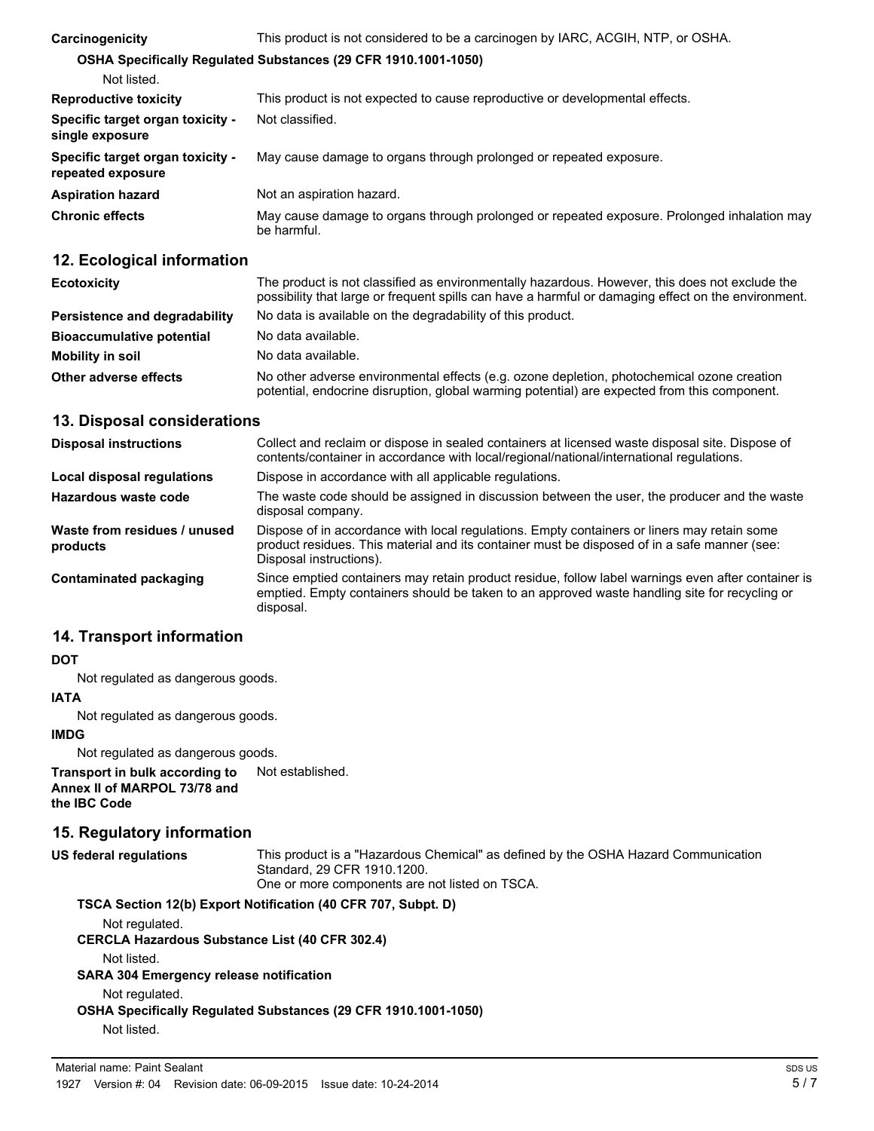| Carcinogenicity                                       | This product is not considered to be a carcinogen by IARC, ACGIH, NTP, or OSHA.                            |  |
|-------------------------------------------------------|------------------------------------------------------------------------------------------------------------|--|
|                                                       | OSHA Specifically Regulated Substances (29 CFR 1910.1001-1050)                                             |  |
| Not listed.                                           |                                                                                                            |  |
| <b>Reproductive toxicity</b>                          | This product is not expected to cause reproductive or developmental effects.                               |  |
| Specific target organ toxicity -<br>single exposure   | Not classified.                                                                                            |  |
| Specific target organ toxicity -<br>repeated exposure | May cause damage to organs through prolonged or repeated exposure.                                         |  |
| <b>Aspiration hazard</b>                              | Not an aspiration hazard.                                                                                  |  |
| <b>Chronic effects</b>                                | May cause damage to organs through prolonged or repeated exposure. Prolonged inhalation may<br>be harmful. |  |

# **12. Ecological information**

| <b>Ecotoxicity</b>               | The product is not classified as environmentally hazardous. However, this does not exclude the<br>possibility that large or frequent spills can have a harmful or damaging effect on the environment. |
|----------------------------------|-------------------------------------------------------------------------------------------------------------------------------------------------------------------------------------------------------|
| Persistence and degradability    | No data is available on the degradability of this product.                                                                                                                                            |
| <b>Bioaccumulative potential</b> | No data available.                                                                                                                                                                                    |
| <b>Mobility in soil</b>          | No data available.                                                                                                                                                                                    |
| Other adverse effects            | No other adverse environmental effects (e.g. ozone depletion, photochemical ozone creation<br>potential, endocrine disruption, global warming potential) are expected from this component.            |

### **13. Disposal considerations**

| <b>Disposal instructions</b>             | Collect and reclaim or dispose in sealed containers at licensed waste disposal site. Dispose of<br>contents/container in accordance with local/regional/national/international regulations.                            |
|------------------------------------------|------------------------------------------------------------------------------------------------------------------------------------------------------------------------------------------------------------------------|
| Local disposal regulations               | Dispose in accordance with all applicable regulations.                                                                                                                                                                 |
| Hazardous waste code                     | The waste code should be assigned in discussion between the user, the producer and the waste<br>disposal company.                                                                                                      |
| Waste from residues / unused<br>products | Dispose of in accordance with local regulations. Empty containers or liners may retain some<br>product residues. This material and its container must be disposed of in a safe manner (see:<br>Disposal instructions). |
| Contaminated packaging                   | Since emptied containers may retain product residue, follow label warnings even after container is<br>emptied. Empty containers should be taken to an approved waste handling site for recycling or<br>disposal.       |

### **14. Transport information**

#### **DOT**

Not regulated as dangerous goods.

# **IATA**

Not regulated as dangerous goods.

#### **IMDG**

Not regulated as dangerous goods.

**Transport in bulk according to** Not established. **Annex II of MARPOL 73/78 and the IBC Code**

### **15. Regulatory information**

| US federal regulations | This product is a "Hazardous Chemical" as defined by the OSHA Hazard Communication<br>Standard, 29 CFR 1910.1200.<br>One or more components are not listed on TSCA. |
|------------------------|---------------------------------------------------------------------------------------------------------------------------------------------------------------------|
|                        | <b>TOOL OF LARLATE AND PROJECT AND OFFICIAL ALLA IN</b>                                                                                                             |

| TSCA Section 12(b) Export Notification (40 CFR 707, Subpt. D)         |
|-----------------------------------------------------------------------|
| Not regulated.                                                        |
| <b>CERCLA Hazardous Substance List (40 CFR 302.4)</b>                 |
| Not listed.                                                           |
| <b>SARA 304 Emergency release notification</b>                        |
| Not regulated.                                                        |
| <b>OSHA Specifically Requiated Substances (29 CFR 1910.1001-1050)</b> |
| Not listed.                                                           |
|                                                                       |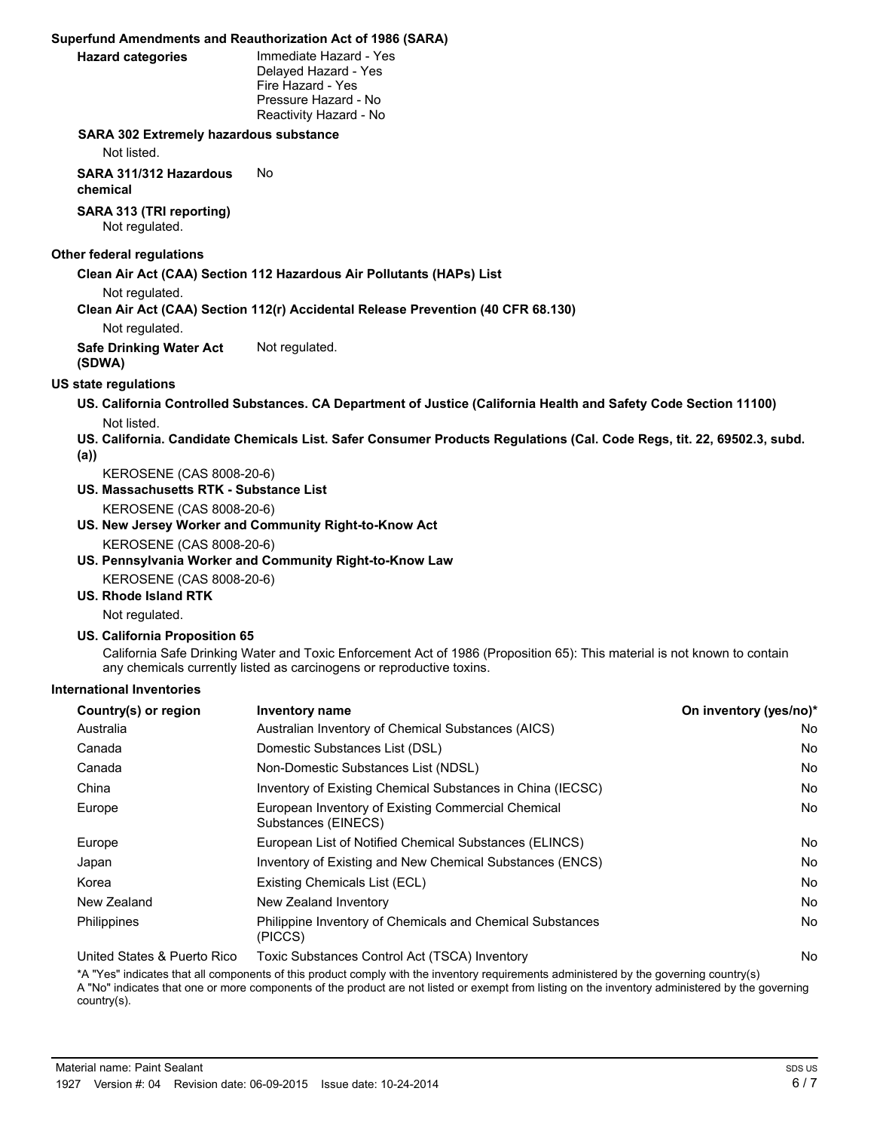#### **Superfund Amendments and Reauthorization Act of 1986 (SARA)**

Immediate Hazard - Yes Delayed Hazard - Yes Fire Hazard - Yes Pressure Hazard - No Reactivity Hazard - No

#### **SARA 302 Extremely hazardous substance**

Not listed.

**SARA 311/312 Hazardous** No

**chemical**

**SARA 313 (TRI reporting)** Not regulated.

#### **Other federal regulations**

**Clean Air Act (CAA) Section 112 Hazardous Air Pollutants (HAPs) List**

Not regulated.

**Clean Air Act (CAA) Section 112(r) Accidental Release Prevention (40 CFR 68.130)**

Not regulated.

**Safe Drinking Water Act** Not regulated. **(SDWA)**

#### **US state regulations**

**US. California Controlled Substances. CA Department of Justice (California Health and Safety Code Section 11100)** Not listed.

- **US. California. Candidate Chemicals List. Safer Consumer Products Regulations (Cal. Code Regs, tit. 22, 69502.3, subd.**
- **(a))**

KEROSENE (CAS 8008-20-6)

- **US. Massachusetts RTK Substance List**
	- KEROSENE (CAS 8008-20-6)
- **US. New Jersey Worker and Community Right-to-Know Act** KEROSENE (CAS 8008-20-6)
- **US. Pennsylvania Worker and Community Right-to-Know Law**
- KEROSENE (CAS 8008-20-6)
- **US. Rhode Island RTK**

Not regulated.

**US. California Proposition 65**

California Safe Drinking Water and Toxic Enforcement Act of 1986 (Proposition 65): This material is not known to contain any chemicals currently listed as carcinogens or reproductive toxins.

#### **International Inventories**

| Country(s) or region        | <b>Inventory name</b>                                                     | On inventory (yes/no)* |
|-----------------------------|---------------------------------------------------------------------------|------------------------|
| Australia                   | Australian Inventory of Chemical Substances (AICS)                        | No                     |
| Canada                      | Domestic Substances List (DSL)                                            | No                     |
| Canada                      | Non-Domestic Substances List (NDSL)                                       | No                     |
| China                       | Inventory of Existing Chemical Substances in China (IECSC)                | No                     |
| Europe                      | European Inventory of Existing Commercial Chemical<br>Substances (EINECS) | No                     |
| Europe                      | European List of Notified Chemical Substances (ELINCS)                    | No                     |
| Japan                       | Inventory of Existing and New Chemical Substances (ENCS)                  | No                     |
| Korea                       | Existing Chemicals List (ECL)                                             | No                     |
| New Zealand                 | New Zealand Inventory                                                     | No                     |
| Philippines                 | Philippine Inventory of Chemicals and Chemical Substances<br>(PICCS)      | No                     |
| United States & Puerto Rico | Toxic Substances Control Act (TSCA) Inventory                             | No                     |

\*A "Yes" indicates that all components of this product comply with the inventory requirements administered by the governing country(s) A "No" indicates that one or more components of the product are not listed or exempt from listing on the inventory administered by the governing country(s).